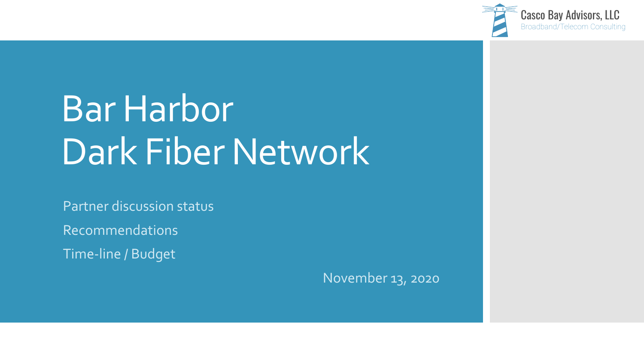

## Bar Harbor Dark Fiber Network

Partner discussion status

Recommendations

Time-line / Budget

November 13, 2020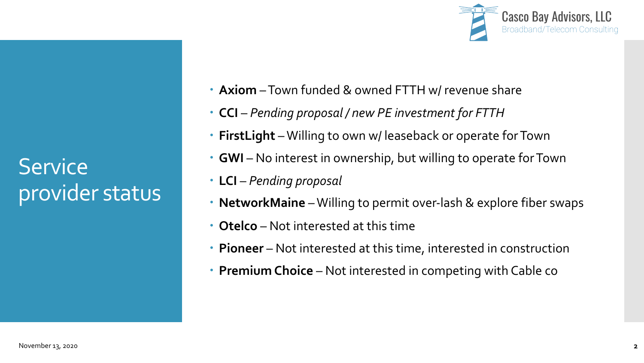**Service** provider status



- **Axiom** –Town funded & owned FTTH w/ revenue share
- **CCI** *Pending proposal / new PE investment for FTTH*
- **FirstLight** –Willing to own w/ leaseback or operate for Town
- **GWI** No interest in ownership, but willing to operate for Town
- **LCI** *Pending proposal*
- **NetworkMaine** –Willing to permit over-lash & explore fiber swaps
- **Otelco** Not interested at this time
- **Pioneer** Not interested at this time, interested in construction
- **Premium Choice**  Not interested in competing with Cable co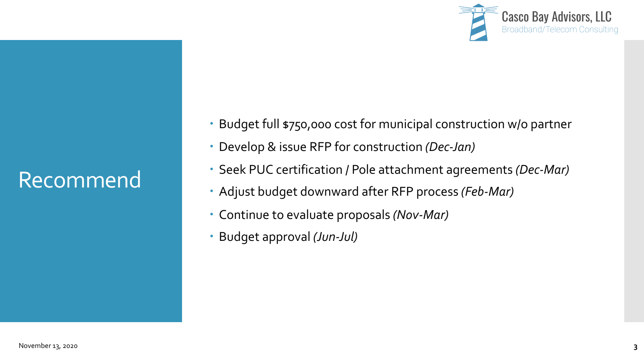

## Recommend

- Budget full \$750,000 cost for municipal construction w/o partner
- Develop & issue RFP for construction *(Dec-Jan)*
- Seek PUC certification / Pole attachment agreements *(Dec-Mar)*
- Adjust budget downward after RFP process *(Feb-Mar)*
- Continue to evaluate proposals *(Nov-Mar)*
- Budget approval *(Jun-Jul)*